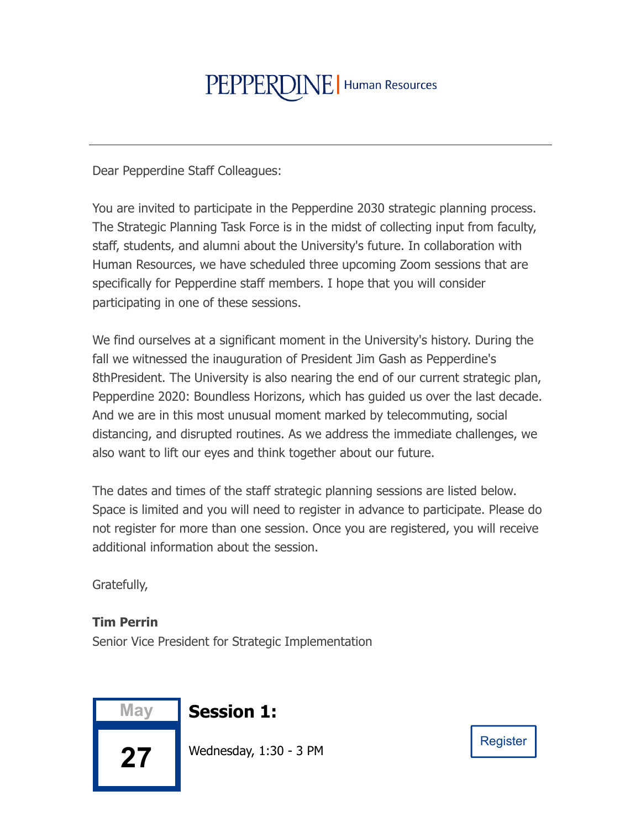## PEPPERDINE | Human Resources

Dear Pepperdine Staff Colleagues:

You are invited to participate in the Pepperdine 2030 strategic planning process. The Strategic Planning Task Force is in the midst of collecting input from faculty, staff, students, and alumni about the University's future. In collaboration with Human Resources, we have scheduled three upcoming Zoom sessions that are specifically for Pepperdine staff members. I hope that you will consider participating in one of these sessions.

We find ourselves at a significant moment in the University's history. During the fall we witnessed the inauguration of President Jim Gash as Pepperdine's 8thPresident. The University is also nearing the end of our current strategic plan, Pepperdine 2020: Boundless Horizons, which has guided us over the last decade. And we are in this most unusual moment marked by telecommuting, social distancing, and disrupted routines. As we address the immediate challenges, we also want to lift our eyes and think together about our future.

The dates and times of the staff strategic planning sessions are listed below. Space is limited and you will need to register in advance to participate. Please do not register for more than one session. Once you are registered, you will receive additional information about the session.

Gratefully,

## **Tim Perrin**

Senior Vice President for Strategic Implementation



**Session 1:** 

Wednesday, 1:30 - 3 PM